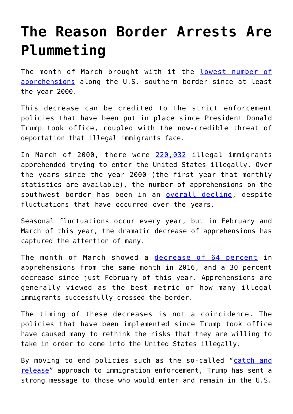## **[The Reason Border Arrests Are](https://intellectualtakeout.org/2017/04/the-reason-border-arrests-are-plummeting/) [Plummeting](https://intellectualtakeout.org/2017/04/the-reason-border-arrests-are-plummeting/)**

The month of March brought with it the [lowest number of](http://www.npr.org/sections/thetwo-way/2017/04/05/522791213/apprehensions-at-southern-border-continue-to-drop-cbp-says) [apprehensions](http://www.npr.org/sections/thetwo-way/2017/04/05/522791213/apprehensions-at-southern-border-continue-to-drop-cbp-says) along the U.S. southern border since at least the year 2000.

This decrease can be credited to the strict enforcement policies that have been put in place since President Donald Trump took office, coupled with the now-credible threat of deportation that illegal immigrants face.

In March of 2000, there were [220,032](https://www.cbp.gov/sites/default/files/assets/documents/2016-Oct/BP%20Total%20Monthly%20Apps%20by%20Sector%20and%20Area%2C%20FY2000-FY2016.pdf) illegal immigrants apprehended trying to enter the United States illegally. Over the years since the year 2000 (the first year that monthly statistics are available), the number of apprehensions on the southwest border has been in an [overall decline,](https://www.cbp.gov/newsroom/stats/sw-border-migration) despite fluctuations that have occurred over the years.

Seasonal fluctuations occur every year, but in February and March of this year, the dramatic decrease of apprehensions has captured the attention of many.

The month of March showed a [decrease of 64 percent](https://www.cbp.gov/newsroom/stats/sw-border-migration) in apprehensions from the same month in 2016, and a 30 percent decrease since just February of this year. Apprehensions are generally viewed as the best metric of how many illegal immigrants successfully crossed the border.

The timing of these decreases is not a coincidence. The policies that have been implemented since Trump took office have caused many to rethink the risks that they are willing to take in order to come into the United States illegally.

By moving to end policies such as the so-called "[catch and](http://www.foxnews.com/politics/2017/02/21/dhs-secretary-orders-immigration-agent-hiring-surge-end-to-catch-and-release.html) [release"](http://www.foxnews.com/politics/2017/02/21/dhs-secretary-orders-immigration-agent-hiring-surge-end-to-catch-and-release.html) approach to immigration enforcement, Trump has sent a strong message to those who would enter and remain in the U.S.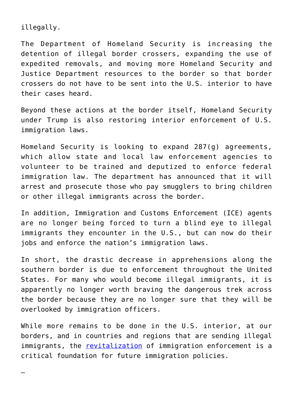illegally.

—

The Department of Homeland Security is increasing the detention of illegal border crossers, expanding the use of expedited removals, and moving more Homeland Security and Justice Department resources to the border so that border crossers do not have to be sent into the U.S. interior to have their cases heard.

Beyond these actions at the border itself, Homeland Security under Trump is also restoring interior enforcement of U.S. immigration laws.

Homeland Security is looking to expand 287(g) agreements, which allow state and local law enforcement agencies to volunteer to be trained and deputized to enforce federal immigration law. The department has announced that it will arrest and prosecute those who pay smugglers to bring children or other illegal immigrants across the border.

In addition, Immigration and Customs Enforcement (ICE) agents are no longer being forced to turn a blind eye to illegal immigrants they encounter in the U.S., but can now do their jobs and enforce the nation's immigration laws.

In short, the drastic decrease in apprehensions along the southern border is due to enforcement throughout the United States. For many who would become illegal immigrants, it is apparently no longer worth braving the dangerous trek across the border because they are no longer sure that they will be overlooked by immigration officers.

While more remains to be done in the U.S. interior, at our borders, and in countries and regions that are sending illegal immigrants, the [revitalization](http://www.heritage.org/immigration/report/ten-step-checklist-revitalizing-americas-immigration-system-how-the) of immigration enforcement is a critical foundation for future immigration policies.